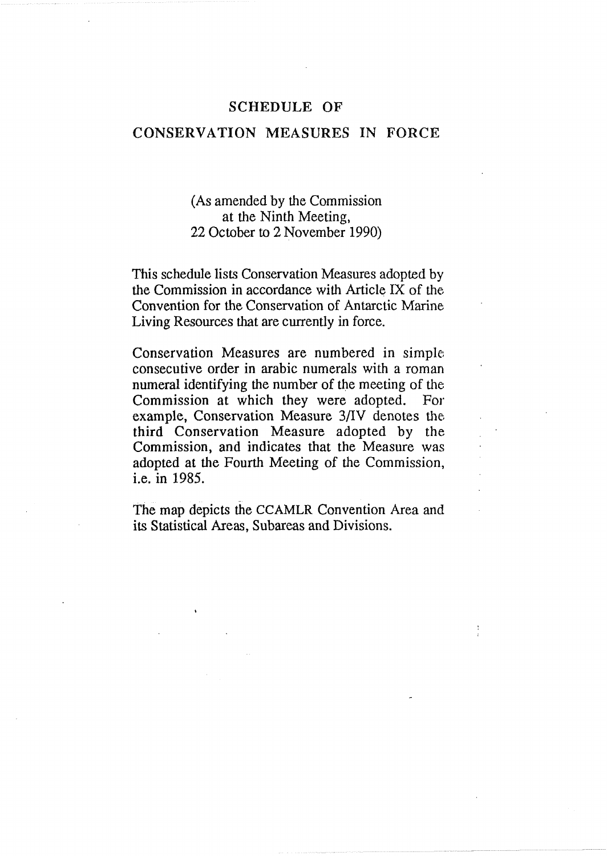#### **SCHEDULE OF**

### **CONSERVATION MEASURES IN FORCE**

# (As amended by the Commission at the Ninth Meeting, 22 October to 2 November 1990)

This schedule lists Conservation Measures adopted by the Commission in accordance with Article IX of the Convention for the Conservation of Antarctic Marine Living Resources that are currently in force.

Conservation Measures are numbered in simple consecutive order in arabic numerals with a roman numeral identifying the number of the meeting of the Commission at which they were adopted. For. example, Conservation Measure 3/IV denotes the third Conservation Measure adopted by the Commission, and indicates that the Measure was adopted at the Fourth Meeting of the Commission, i.e. in 1985,

The map depicts the CCAMLR Convention Area and its Statistical Areas, Subareas and Divisions.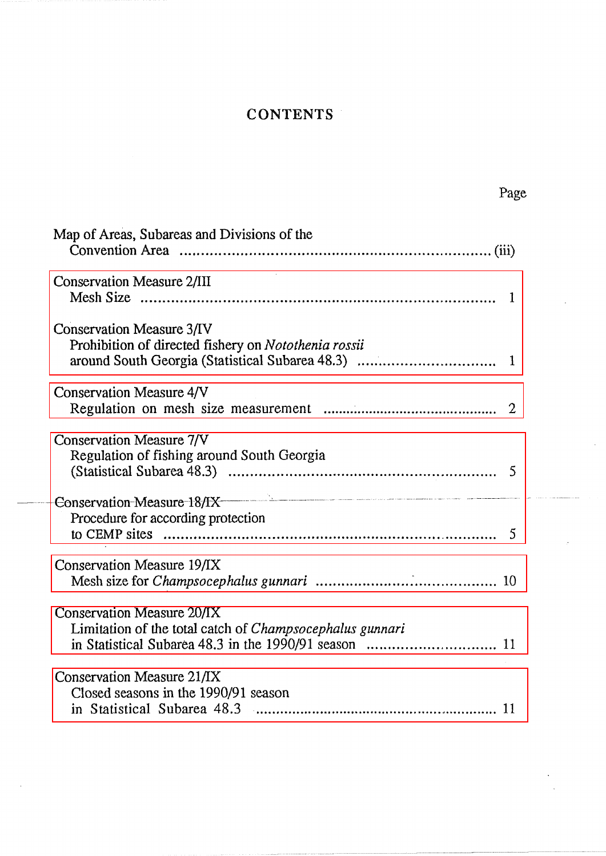# **CONTENTS**

| Conservation Measure 2/III         |                                                                 |
|------------------------------------|-----------------------------------------------------------------|
| <b>Conservation Measure 3/IV</b>   |                                                                 |
|                                    | Prohibition of directed fishery on Notothenia rossii            |
|                                    |                                                                 |
| Conservation Measure 4/V           |                                                                 |
|                                    |                                                                 |
| <b>Conservation Measure 7/V</b>    |                                                                 |
|                                    | Regulation of fishing around South Georgia                      |
|                                    |                                                                 |
|                                    | Conservation Measure 18/IX                                      |
| Procedure for according protection |                                                                 |
|                                    | 5                                                               |
| Conservation Measure 19/IX         |                                                                 |
|                                    |                                                                 |
| Conservation Measure 20/IX         |                                                                 |
|                                    | Limitation of the total catch of <i>Champsocephalus gunnari</i> |
|                                    |                                                                 |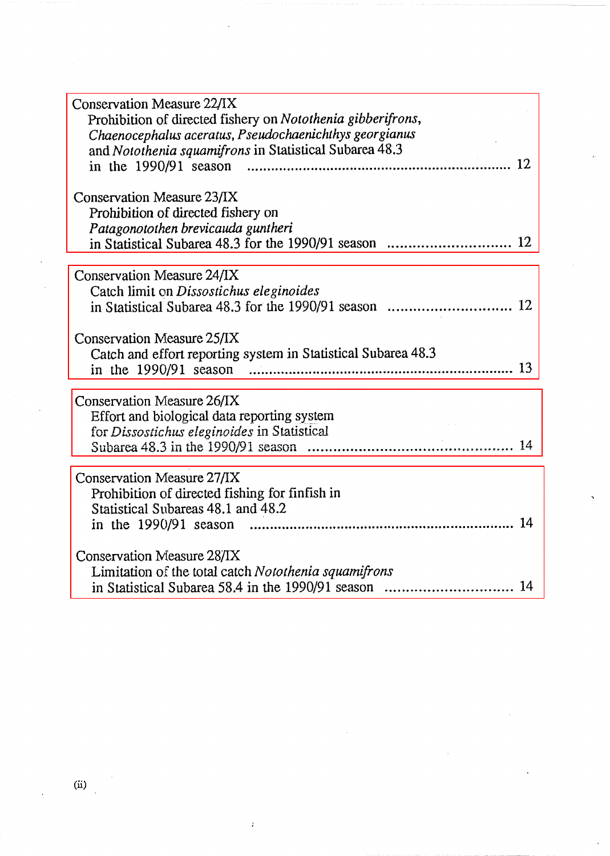| Conservation Measure 22/IX<br>Prohibition of directed fishery on Notothenia gibberifrons,<br>Chaenocephalus aceratus, Pseudochaenichthys georgianus<br>and Notothenia squamifrons in Statistical Subarea 48.3 |
|---------------------------------------------------------------------------------------------------------------------------------------------------------------------------------------------------------------|
| Conservation Measure 23/IX<br>Prohibition of directed fishery on                                                                                                                                              |
| Patagonotothen brevicauda guntheri                                                                                                                                                                            |
| Conservation Measure 24/IX<br>Catch limit on <i>Dissostichus eleginoides</i>                                                                                                                                  |
| Conservation Measure 25/IX<br>Catch and effort reporting system in Statistical Subarea 48.3                                                                                                                   |
| Conservation Measure 26/IX<br>Effort and biological data reporting system<br>for Dissostichus eleginoides in Statistical                                                                                      |
| Conservation Measure 27/IX<br>Prohibition of directed fishing for finfish in<br>Statistical Subareas 48.1 and 48.2<br>14                                                                                      |
| Conservation Measure 28/IX<br>Limitation of the total catch Notothenia squamifrons<br>14<br>in Statistical Subarea 58.4 in the 1990/91 season                                                                 |

 $\bar{t}$ 

 $(ii)$ 

 $\ddot{\phantom{0}}$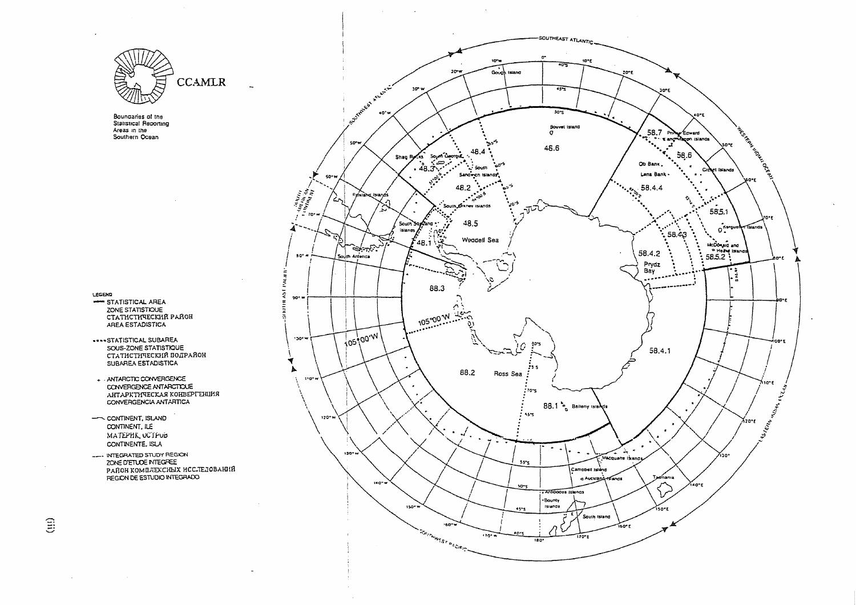**CCAMLR** 

Boundaries of the Statistical Reporting Areas in the Southern Ocean



- \*\*\*\*STATISTICAL SUBAREA SOUS-ZONE STATISTIQUE СТАТИСТИЧЕСКИЙ ПОДРАЙОН SUBAREA ESTADISTICA
- + ANTARCTIC CONVERGENCE CONVERGENCE ANTARCTIOUE АНТАРКТИЧЕСКАЯ КОНВЕРГЕНЦИЯ CONVERGENCIA ANTARTICA
- CONTINENT, ISLAND CONTINENT, ILE MATEPHK, UCTPUB CONTINENTE, ISLA
- --- INTEGRATED STUDY REGION ZONE D'ETUDE INTEGREE PAROH KOMBAEKCHNX HCCAEJOBAHHA REGICAL DE ESTUDIO INTEGRADO

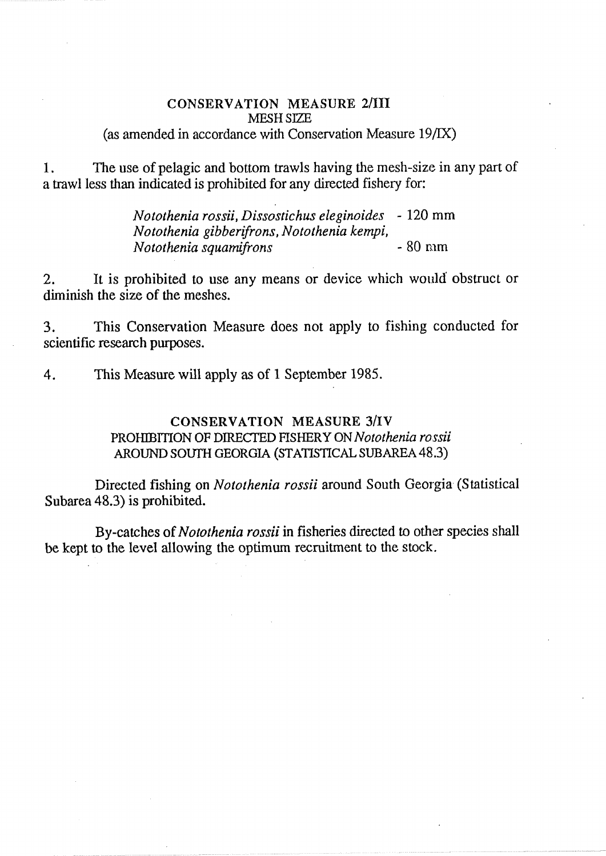# <span id="page-4-0"></span>**CONSERVATION MEASURE 21111**  MESH **SIZE**  (as amended in accordance with Conservation Measure 19/IX)

1. The use of pelagic and bottom trawls having the mesh-size in any part of a trawl less than indicated is prohibited for any directed fishery for:

> *Notothenia rossii, Dissostichus eleginoides* - *120 mm Notothenia gibberifrons, Notothenia kempi, Notothenia squamifrons* - 80 mm

2. It is prohibited to use any means or device which would obstruct or diminish the size of the meshes.

**3.** This Conservation Measure does not apply to fishing conducted for scientific research purposes.

**4.** This Measure will apply as of 1 September 1985.

# **CONSERVATION MEASURE 3/IV**  PROHIBITION **OF DIRECTED** *FISHERY ON Notothenia rossii AROUND SOUTH* GEORGIA **(STATISTICAL SUBAREA** 48.3)

Directed fishing on *Notothenia rossii* around South Georgia (Statistical Subarea 48.3) is prohibited.

By-catches of *Notothenia rossii* in fisheries directed to other species shall be kept to the level allowing the optimum recruitment to the stock.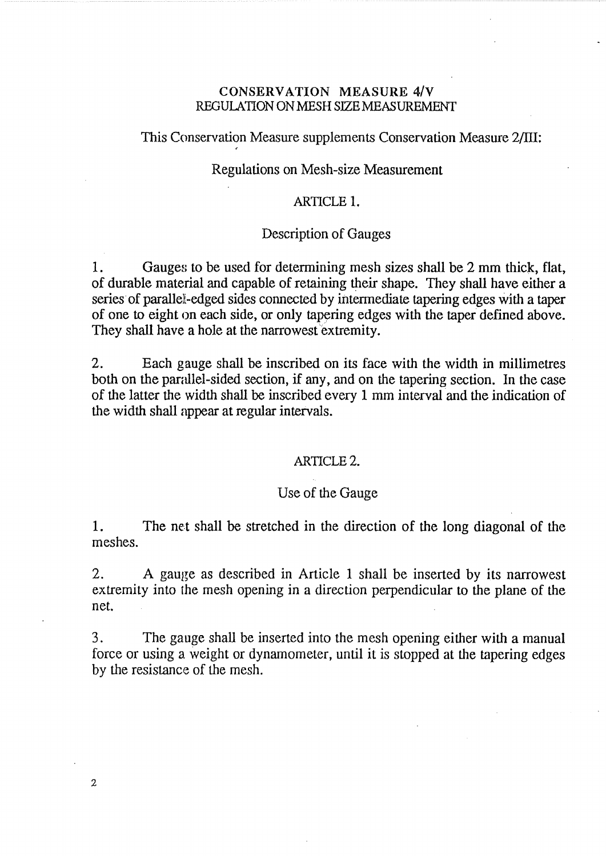#### **CONSERVATION MEASURE 4/V** REGULATION ON MESH SIZE MEASUREMENT

#### <span id="page-5-0"></span>This Conservation Measure supplements Conservation Measure 2/III:

#### Regulations on Mesh-size Measurement

### ARTICLE 1.

#### Description of Gauges

1. Gauges to be used for determining mesh sizes shall be 2 mm thick, flat, of durable material and capable of retaining their shape. They shall have either a series of parallel-edged sides connected by intermediate tapering edges with a taper of one to eight on each side, or only tapering edges with the taper defined above. They shall have a hole at the narrowest extremity.

2. Each gauge shall be inscribed on its face with the width in millimetres both on the paridlel-sided section, if any, and on the tapering section. In the case of the latter the width shall be inscribed every 1 mm interval and the indication of the width shall **appear** at regular intervals.

#### ARTICLE 2.

#### Use of the Gauge

1. The net shall be stretched in the direction of the long diagonal of the meshes.

2. A gauge as described in Article 1 shall be inserted by its narrowest extremity into the mesh opening in a direction perpendicular to the plane of the net.

3. The gauge shall be inserted into the mesh opening either with a manual force or using a weight or dynamometer, until it is stopped at the tapering edges by the resistance of the mesh.

 $\overline{2}$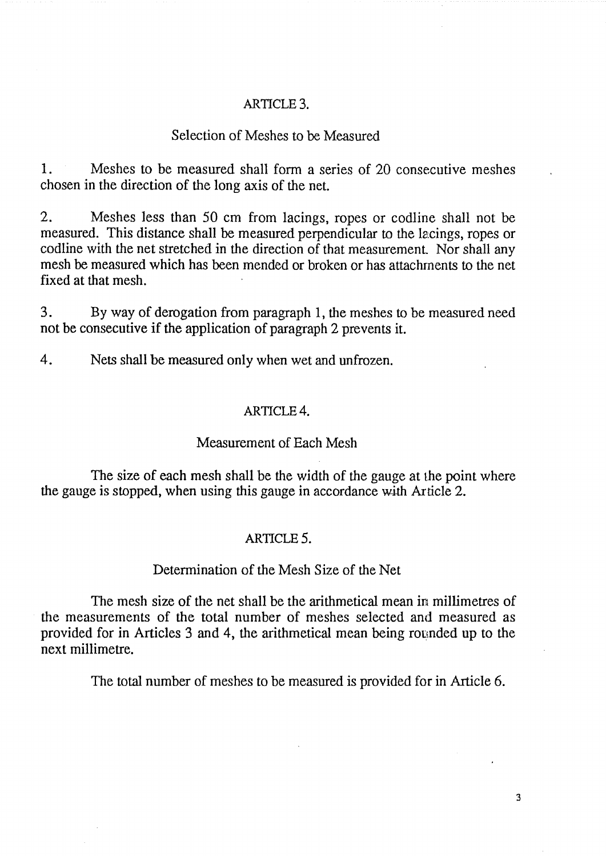#### ARTICLE 3.

### Selection of Meshes to be Measured

1. Meshes to be measured shall form a series of 20 consecutive meshes chosen in the direction of the long axis of the net.

2. Meshes less than 50 cm from lacings, ropes or codline shall not be measured. This distance shall be measured perpendicular to the lacings, ropes or codline with the net stretched in the direction of that measurement. Nor shall any mesh be measured which has been mended or broken or has attachments to the net fixed at that mesh.

3. By way of derogation from paragraph 1, the meshes to be measured need not be consecutive if the application of paragraph 2 prevents it.

4. Nets shall be measured only when wet and unfrozen.

#### ARTICLE 4.

#### Measurement of Each Mesh

The size of each mesh shall be the width of the gauge at the point where the gauge is stopped, when using this gauge in accordance with Article 2.

#### ARTICLE *5.*

#### Determination of the Mesh Size of the Net

The mesh size of the net shall be the arithmetical mean in millimetres of the measurements of the total number of meshes selected and measured as provided for in Articles 3 and 4, the arithmetical mean being rounded up to the next millimetre.

The total number of meshes to be measured is provided for in Article 6.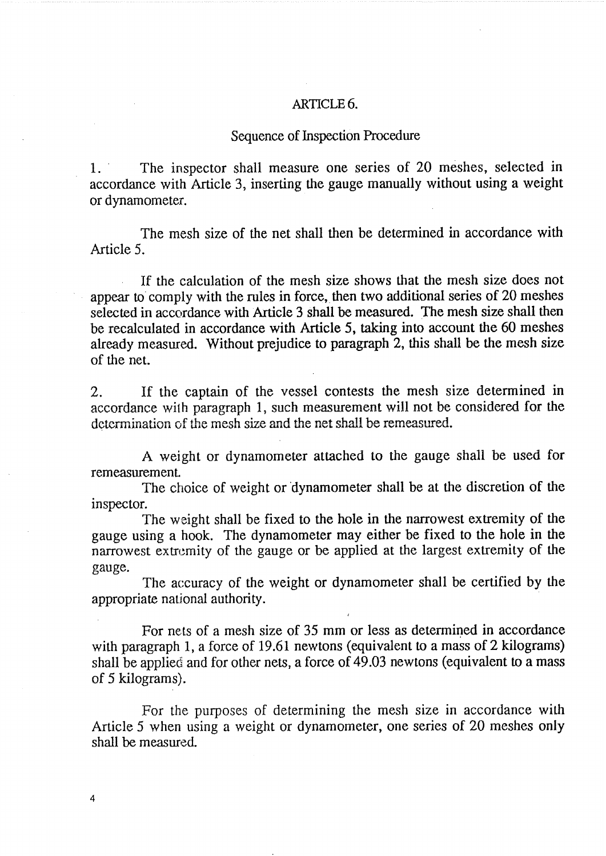#### **ARTICLE** *6.*

#### Sequence of Inspection Procedure

1. ' The inspector shall measure one series of 20 meshes, selected in accordance with Article 3, inserting the gauge manually without using a weight or dynamometer.

The mesh size of the net shall then be determined in accordance with Article 5.

If the calculation of the mesh size shows that the mesh size does not appear to comply with the rules in force, then two additional series of 20 meshes selected in accordance with Article 3 shall be measured. The mesh size shall then be recalculated in accordance with Article 5, taking into account the 60 meshes already measured. Without prejudice to paragraph 2, this shall be the mesh size of the net.

2. If the captain of the vessel contests the mesh size determined in accordance with paragraph 1, such measurement will not be considered for the determination of the mesh size and the net shall be remeasured.

A weight or dynamometer attached to the gauge shall be used for remeasurement.

The choice of weight or 'dynamometer shall be at the discretion of the inspector.

The weight shall be fixed to the hole in the narrowest extremity of the gauge using a hook. The dynarnometer may either be fixed to the hole in the narrowest extremity of the gauge or be applied at the largest extremity of the gauge.

The accuracy of the weight or dynamometer shall be certified by the appropriate national authority.

For nets of a mesh size of 35 mm or less as determined in accordance with paragraph 1, a force of 19.61 newtons (equivalent to a mass of 2 kilograms) shall be applied and for other nets, a force of 49.03 newtons (equivalent to a mass of 5 kilograms).

For the purposes of determining the mesh size in accordance with Article 5 when using a weight or dynamometer, one series of 20 meshes only shall be measured.

 $\overline{4}$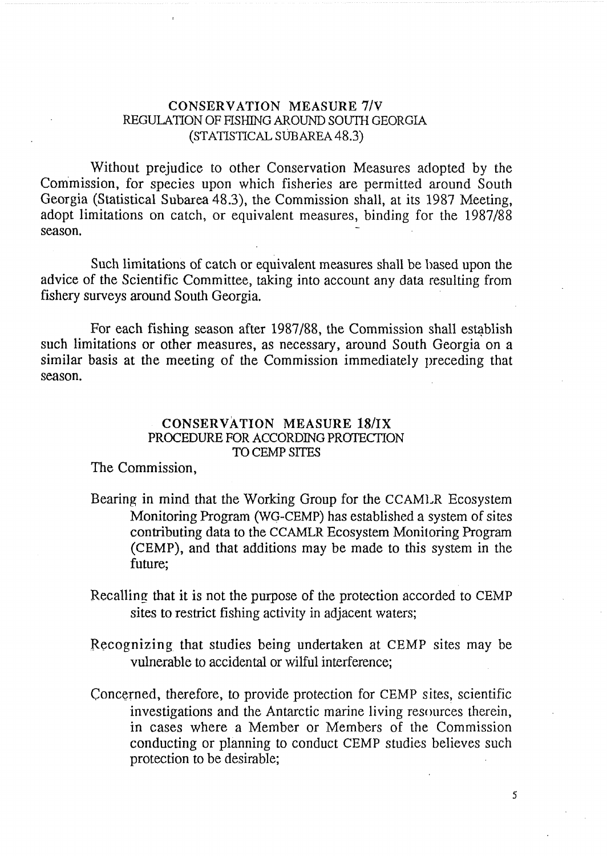# <span id="page-8-0"></span>**CONSERVATION MEASURE 7/V**  REGULATION OF FISHING AROUND SOUTH GEORGIA (STATISTICAL SUB AREA 48.3)

Without prejudice to other Conservation Measures adopted by the Commission, for species upon which fisheries are permitted around South Georgia (Statistical Subarea 48.3), the Commission shall, at its 1987 Meeting, adopt limitations on catch, or equivalent measures, binding for the 1987/88 season.

Such limitations of catch or equivalent measures shall be based upon the advice of the Scientific Committee, taking into account any data resulting from fishery surveys around South Georgia.

For each fishing season after 1987/88, the Commission shall establish such limitations or other measures, as necessary, around South Georgia on a similar basis at the meeting of the Commission immediately preceding that season.

#### **CONSERVATION MEASURE 18/IX**  PROCEDURE **FOR ACCORDING** PROTECTION TO CEMP **SITE3**

The Commission,

- Bearing in mind that the Working Group for the CCAMLR Ecosystem Monitoring Program (WG-CEMP) has established a system of sites contributing data to the CCAMLR Ecosystem Monitoring Program (CEMP), and that additions may be made to this system in the future;
- Recalling that it is not the purpose of the protection accorded to CEMP sites to restrict fishing activity in adjacent waters;
- Recognizing that studies being undertaken at CEMP sites may be vulnerable to accidental or wilful interference;
- Concerned, therefore, to provide protection for CEMP sites, scientific investigations and the Antarctic marine living resources therein, in cases where a Member or Members of the Commission conducting or planning to conduct CEMP studies believes such protection to be desirable;

 $\mathbf{5}$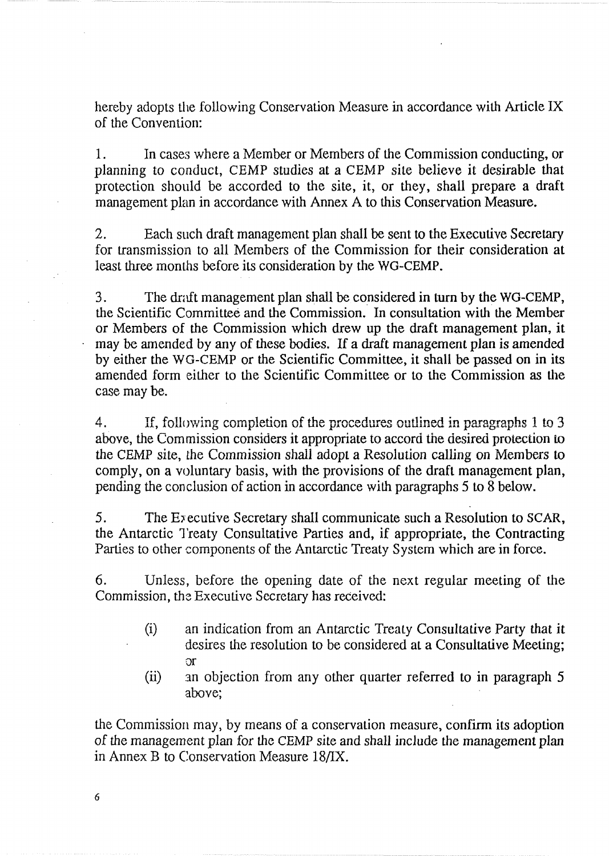hereby adopts the following Conservation Measure in accordance with Article IX of the Convention:

1. In cases where a Member or Members of the Commission conducting, or planning to conduct, CEMP studies at a CEMP site believe it desirable that protection should be accorded to the site, it, or they, shall prepare a draft management plan in accordance with Annex **A** to this Conservation Measure.

2. Each such draft management plan shall be sent to the Executive Secretary for transmission to all Members of the Commission for their consideration at least three months before its consideration by the WG-CEMP.

3. The draft management plan shall be considered in turn by the WG-CEMP, the Scientific Committee and the Commission. In consultation with the Member or Members of the Commission which drew up the draft management plan, it may be amended by any of these bodies. **If** a draft management plan is amended by either the WG-CEMP or the Scientific Committee, it shall be passed on in its amended form either to the Scientific Committee or to **Ihe** Commission as the case may be.

**A**  If, following completion of the procedures outlined in paragraphs 1 to 3 above, the Commission considers it appropriate to accord the desired proieciion to the CEMP site, the Commission shall adopt a Resolution calling on Members **to**  comply, on a voluntary basis, with the provisions of the draft management plan, pending the conclusion of action in accordance with paragraphs 5 10 8 below.

5. The Executive Secretary shall communicate such a Resolution to SCAR, the Antarctic Treaty Consultative Parties and, if appropriate, the Contracting Parties to other components of the Antarctic Treaty System which are in force.

*6.* Unless, before the opening date of the next regular meeting of the Commission, the Executive Secretary has received:

- $(i)$  an indication from an Antarctic Treaty Consultative Party that it desires the resolution to be considered at a Consultative Meeting; **Or**
- (ii) sn objection from any other quarter referred to in paragraph *5*  above;

the Commissiori may, by means of a conservation measure, confirm its adoption of the management plan for the CEMP site and shall include the management plan in Annex B to Conservation Measure 18/IX.

6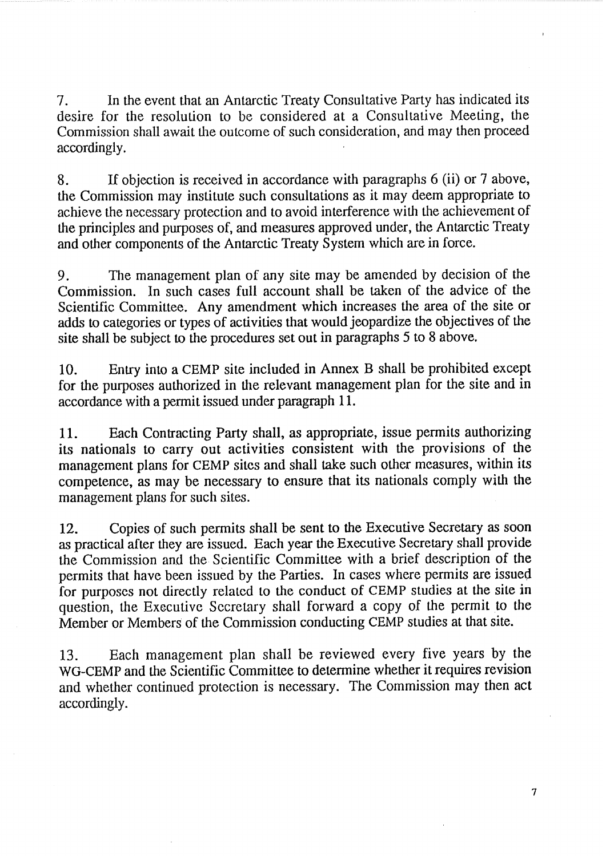7. In the event that an Antarctic Treaty Consultative Party has indicated its desire for the resolution to be considered at a Consultative Meeting, the Commission shall await the outcome of such consideration, and may then proceed accordingly.

**8.** If objection is received in accordance with paragraphs 6 (ii) or 7 above, the Commission may institute such consultations as it may deem appropriate to achieve the necessary protection and to avoid interference with the achievement of the principles and purposes of, and measures approved under, the Antarctic Treaty and other components of the Antarctic Treaty System which are in force.

9. The management plan of any site may be amended by decision of the Commission. In such cases full account shall be taken of the advice of the Scientific Committee. Any amendment which increases the area of the site or adds to categories or types of activities that would jeopardize the objectives of the site shall be subject **to** the procedures set out in paragraphs 5 to 8 above,

10. Entry into a CEMP site included in Annex B shall be prohibited except for the purposes authorized in the relevant management plan for the site and in accordance with a permit issued under paragraph 11.

11. Each Contracting Party shall, as appropriate, issue permits authorizing its nationals to carry out activities consistent with the provisions of the management plans for CEMP sites and shall lake such other measures, within its competence, as may be necessary to ensure that its nationals comply with the management plans for such sites.

12. Copies of such permits shall be sent to the Executive Secretary **as** soon as practical alter they are issued. Each year the Executive Secretary shall provide the Commission and the Scientific Committee with a brief description of the permits that have been issued by the Parties. In cases where permits are issued for purposes not directly related to the conduct of CEMP studies at the site in question, the Executive Secretary shall forward a copy of the permit to the Member or Members of the Commission conducting CEMP studies at that site.

**13.** Each management plan shall be reviewed every five years by the WG-CEMP and the Scientific Committee to determine whether it requires revision and whether continued protection is necessary. The Commission may then act accordingly.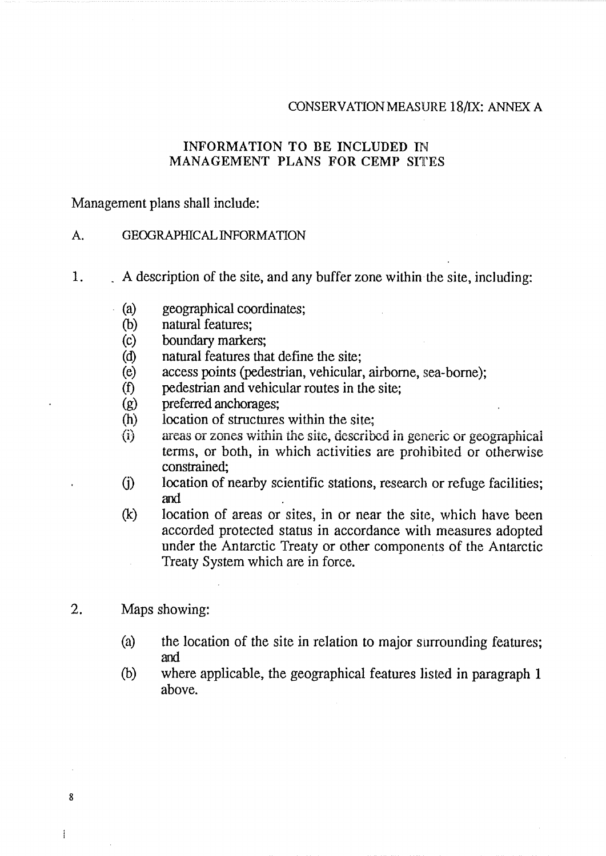#### CONSERVATION MEASURE 18/IX: ANNEX A

# INFORMATION TO BE INCLUDED IN MANAGEMENT PLANS FOR CEMP SITES

#### Management plans shall include:

#### A. **GEOGRAPHICAL INFORMATION**

- $1.$ A description of the site, and any buffer zone within the site, including:
	- geographical coordinates;  $(a)$
	- natural features: (b)
	- $(c)$ boundary markers;
	- natural features that define the site:  $\mathbf{d}$
	- $(e)$ access points (pedestrian, vehicular, airborne, sea-borne);
	- $(f)$ pedestrian and vehicular routes in the site:
	- $(g)$ preferred anchorages:
	- $(h)$ location of structures within the site:
	- areas or zones within the site, described in generic or geographical  $(i)$ terms, or both, in which activities are prohibited or otherwise constrained:
	- $(i)$ location of nearby scientific stations, research or refuge facilities; and
	- location of areas or sites, in or near the site, which have been  $(k)$ accorded protected status in accordance with measures adopted under the Antarctic Treaty or other components of the Antarctic Treaty System which are in force.

 $2.$ Maps showing:

- the location of the site in relation to major surrounding features;  $(a)$ and
- where applicable, the geographical features listed in paragraph 1 (b) above.

8

Î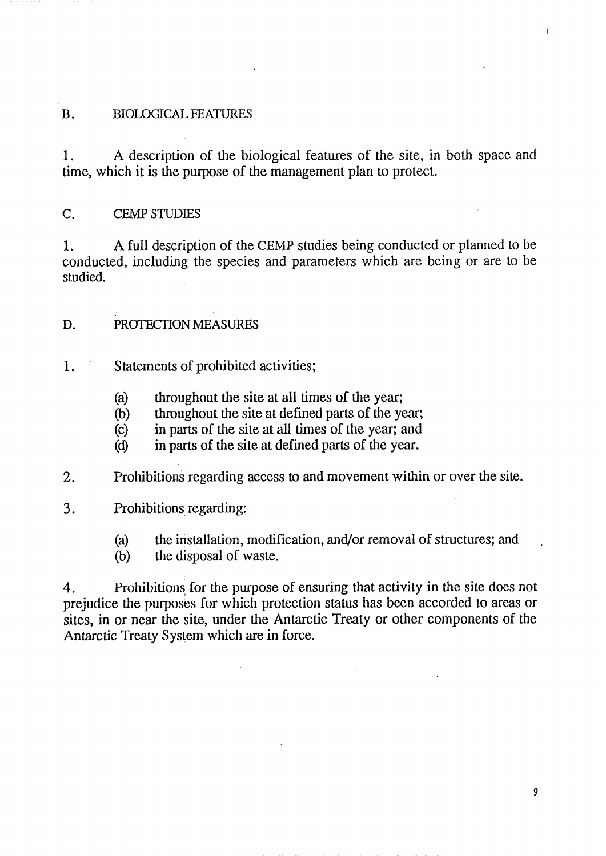# B. BIOLDGICAL **FEATURES**

1. **A** description of the biological features of the site, in both space and time, which it is the purpose of the management plan to protect.

C. CEMP STUDIES

1. A full description of the CEMP studies being conducted or planned to be conducted, including the species and parameters which are being or are to be studied.

# **D.** PROTECTION **MEASURES**

- 1. ' Statements of prohibited activities;
	- (a) throughout the site at all times of the year;<br>(b) throughout the site at defined parts of the year
	- (b) throughout the site at defined parts of the year;<br>(c) in parts of the site at all times of the year; and
	- (c) in parts of the site at all times of the year; and  $(d)$  in parts of the site at defined parts of the year.
	- in parts of the site at defined parts of the year.
- 2. Prohibitions regarding access to and movement within or over the site.
- **3.** Prohibitions regarding:
	- (a) the installation, modification, and/or removal of structures; and
	- (b) the disposal of waste.

4. Prohibitions for the purpose of ensuring that activity in the site does not prejudice the purposes for which protection status has been accorded to areas or sites, in or near the site, under the Antarctic Treaty or other components of the Antarctic Treaty System which are in force.

 $\overline{1}$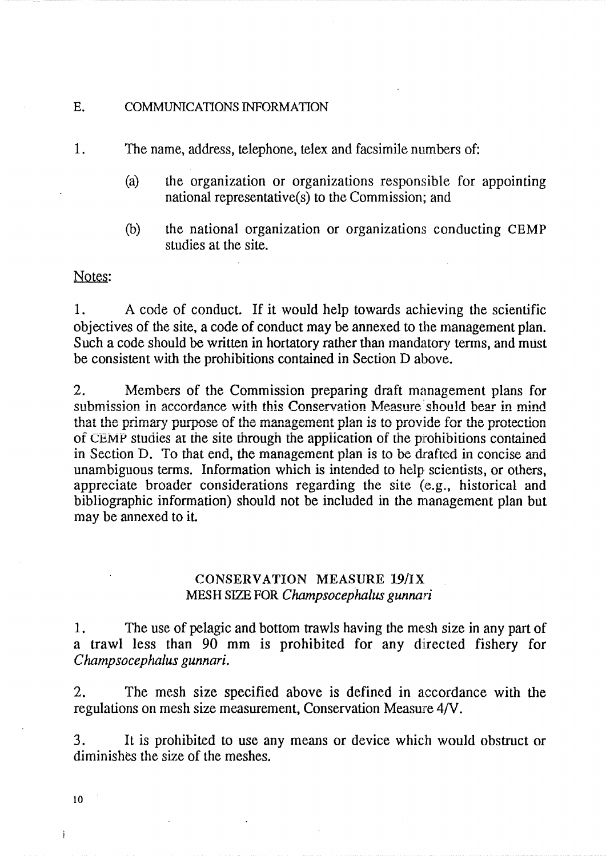#### <span id="page-13-0"></span>E. COMMUNICATIONS INFORMATION

1. The name, address, telephone, telex and facsimile numbers of:

- (a) the organization or organizations responsible for appointing national representative(s) to the Commission; and
- (b) the national organization or organizations conducting CEMP studies at the site.

#### Notes:

1. A code of conduct. If it would help towards achieving the scientific objectives of the site, a code of conduct may be annexed to the management plan. Such a code should be written in hortatory rather than mandatory terms, and must be consistent with the prohibitions contained in Section D above.

2. Members of the Commission preparing draft management plans for submission in accordance with this Conservation Measure should bear in mind that the primary purpose of the management plan is to provide for the protection of CEMP studies at rhe site through the application of the prohibitions contained in Section D. To that end, the management plan is to be drafted in concise **and**  unambiguous terms. Information which is intended to help scientists, or others, appreciate broader considerations regarding the site (e.g., historical and bibliographic information) should not be included in the management plan but may be annexed to it.

# **CONSERVATION MEASURE 19/IX MESH SEE** FOR *Champsocephalus gunnari*

1. The use of pelagic and bottom trawls having the mesh size in any part of a trawl less than 90 mm is prohibited for any directed fishery for *Champsocephalus gunnari.* 

2. The mesh size specified above is defined in accordance with the regulations on mesh size measurement, Conservation Measure **4/V.** 

**3.** It is prohibited to use any means or device which would obstruct or diminishes the size of the meshes.

10

 $\mathbf{i}$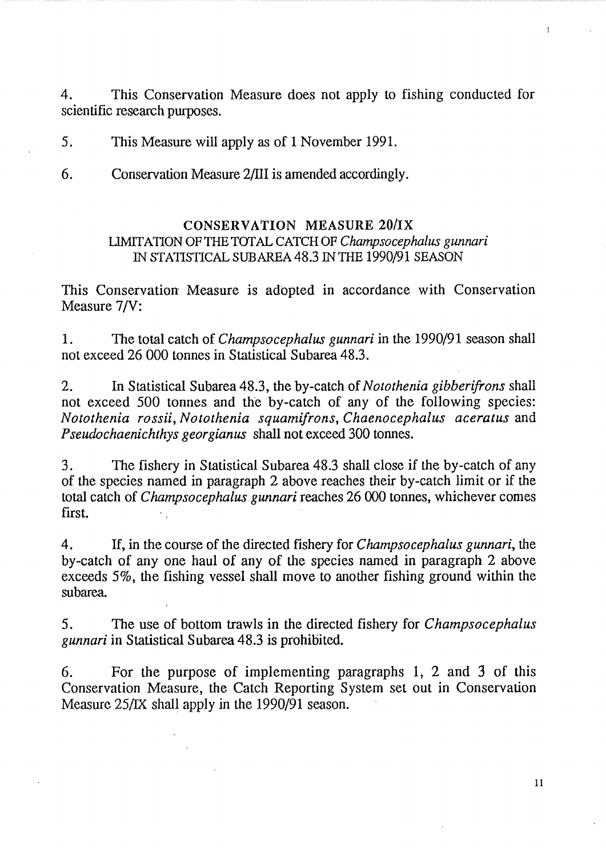<span id="page-14-0"></span>**4.** This Conservation Measure does not apply to fishing conducted for scientific research purposes.

*5.* This Measure will apply as of l November 1991.

6. Conservation Measure 2/lII is amended accordingly.

# **CONSERVATION MEASURE 20/IX**  LIMITATION OF THE TOTAL CATCH OF *Champsocephalus gunnari* IN STATISTICAL *SUB* AREA 48.3 IN **THE** 1990/91 SEASON

This Conservation Measure is adopted in accordance with Conservation Measure 7/V:

*1.* The total catch of *Champsocephalus gunnari* in the 1990/91 season shall not exceed 26 000 tonnes in Statistical Subarea 48.3.

2. In Statistical Subarea 48.3, the by-catch of *Notothenia gibberifrons* shall not exceed *500* tonnes and the by-catch of any of the following species: *Notothenia rossii, Notothenia squamifrons, Chaenocephalus aceratus* and *Pseudochaenichthys georgianus* shall not exceed 300 tonnes.

3. The fishery in Statistical Subarea 48.3 shall close if the by-catch of any of the species named in paragraph 2 above reaches their by-catch limit or if the total catch of *Champsocephalus gunnari* reaches *26 000* tonnes, whichever comes first.

4. If, in the course of the directed fishery for *Champsocephalus gunnari,* the by-catch of any one haul of any of the species named in paragraph 2 above exceeds *5%,* the fishing vessel shall move to another fishing ground within the su **barea.** 

*5.* The use of bottom trawls in the directed fishery for *Champsocephalus gunnari* in Statistical Subarea 48.3 is prohibited.

6. For the purpose of implementing paragraphs 1, 2 and 3 of this Conservation Measure, the Catch Reporting System set out in Conservation Measure *25/IX* shall apply in the *1990/91* season.

 $11$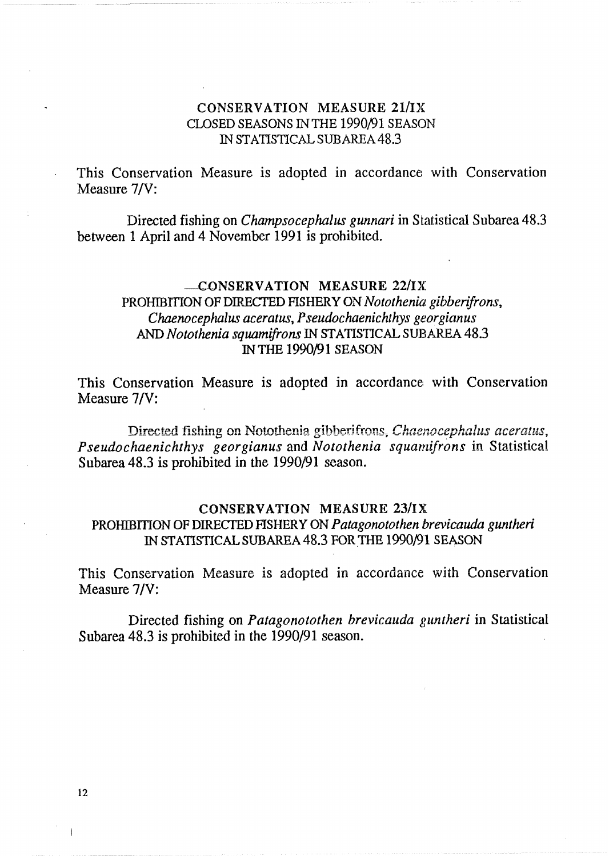# CONSERVATION MEASURE 21/1X CLOSED SEASONS IN THE 1990/91 SEASON IN STATISTICAL SUBAREA 48.3

<span id="page-15-0"></span>This Conservation Measure is adopted in accordance with Conservation Measure 7/V:

Directed fishing on *Champsocephalus gunnari* in Statistical Subarea 48.3 between 1 April and 4 November 1991 is prohibited.

# $\equiv$  CONSERVATION MEASURE 22/IX PROHIBITION OF DIRECTED FISHERY ON Notothenia gibberifrons, Chaenocephalus aceratus, Pseudochaenichthys georgianus AND Notothenia squamifrons IN STATISTICAL SUBAREA 48.3 IN THE 1990/91 SEASON

This Conservation Measure is adopted in accordance with Conservation Measure 7/V:

Directed fishing on Notothenia gibberifrons, Chaenocephalus aceratus, Pseudochaenichthys georgianus and Notothenia squamifrons in Statistical Subarea 48.3 is prohibited in the 1990/91 season.

# CONSERVATION MEASURE 23/IX PROHIBITION OF DIRECTED FISHERY ON Patagonotothen brevicauda guntheri IN STATISTICAL SUBAREA 48.3 FOR THE 1990/91 SEASON

This Conservation Measure is adopted in accordance with Conservation Measure 7/V:

Directed fishing on *Patagonotothen brevicauda guntheri* in Statistical Subarea 48.3 is prohibited in the 1990/91 season.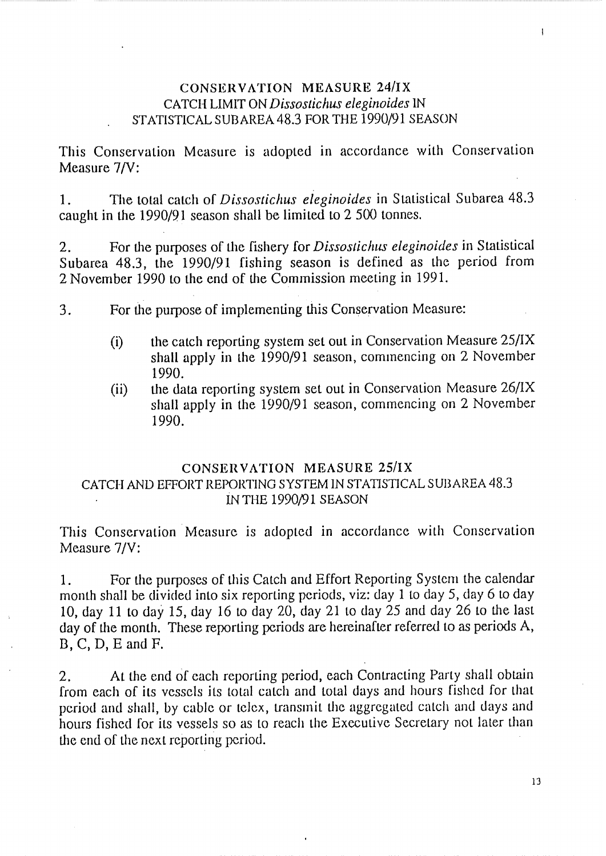# <span id="page-16-0"></span>**CONSERVATION MEASURE 24/IX** CATCH LIMIT ON Dissostichus eleginoides IN STATISTICAL SUBAREA 48.3 FOR THE 1990/91 SEASON

This Conservation Measure is adopted in accordance with Conservation Measure 7/V:

The total catch of Dissostichus eleginoides in Statistical Subarea 48.3  $\mathbf{1}$ . caught in the 1990/91 season shall be limited to 2 500 tonnes.

For the purposes of the fishery for *Dissostichus eleginoides* in Statistical  $2.$ Subarea 48.3, the 1990/91 fishing season is defined as the period from 2 November 1990 to the end of the Commission meeting in 1991.

- 3. For the purpose of implementing this Conservation Measure:
	- the catch reporting system set out in Conservation Measure 25/IX  $(i)$ shall apply in the 1990/91 season, commencing on 2 November 1990.
	- the data reporting system set out in Conservation Measure 26/IX  $(ii)$ shall apply in the 1990/91 season, commencing on 2 November 1990.

# **CONSERVATION MEASURE 25/IX** CATCH AND EFFORT REPORTING SYSTEM IN STATISTICAL SUBAREA 48.3 IN THE 1990/91 SEASON

This Conservation Measure is adopted in accordance with Conservation Measure 7/V:

For the purposes of this Catch and Effort Reporting System the calendar  $\mathbf{1}$ . month shall be divided into six reporting periods, viz: day 1 to day 5, day 6 to day 10, day 11 to day 15, day 16 to day 20, day 21 to day 25 and day 26 to the last day of the month. These reporting periods are hereinafter referred to as periods A,  $B, C, D, E$  and  $F$ .

At the end of each reporting period, each Contracting Party shall obtain  $2.$ from each of its vessels its total catch and total days and hours fished for that period and shall, by cable or telex, transmit the aggregated catch and days and hours fished for its vessels so as to reach the Executive Secretary not later than the end of the next reporting period.

13

 $\mathbf{I}$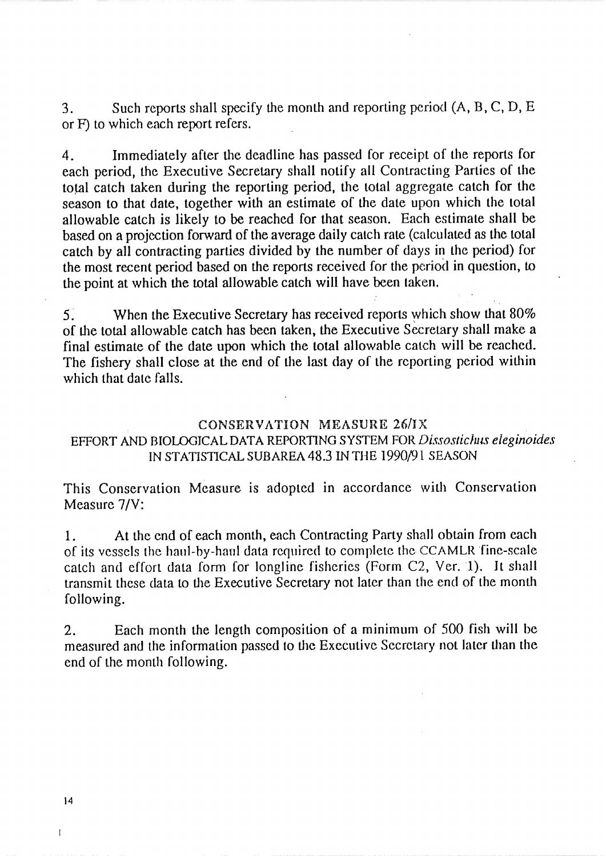<span id="page-17-0"></span> $\overline{3}$ . Such reports shall specify the month and reporting period  $(A, B, C, D, E)$ or F) to which each report refers.

Immediately after the deadline has passed for receipt of the reports for  $\overline{4}$ . each period, the Executive Secretary shall notify all Contracting Parties of the total catch taken during the reporting period, the total aggregate catch for the season to that date, together with an estimate of the date upon which the total allowable catch is likely to be reached for that season. Each estimate shall be based on a projection forward of the average daily catch rate (calculated as the total catch by all contracting parties divided by the number of days in the period) for the most recent period based on the reports received for the period in question, to the point at which the total allowable catch will have been taken.

When the Executive Secretary has received reports which show that 80%  $5<sub>1</sub>$ of the total allowable catch has been taken, the Executive Secretary shall make a final estimate of the date upon which the total allowable catch will be reached. The fishery shall close at the end of the last day of the reporting period within which that date falls.

# **CONSERVATION MEASURE 26/IX** EFFORT AND BIOLOGICAL DATA REPORTING SYSTEM FOR Dissostichus eleginoides IN STATISTICAL SUBAREA 48.3 IN THE 1990/91 SEASON

This Conservation Measure is adopted in accordance with Conservation Measure 7/V:

At the end of each month, each Contracting Party shall obtain from each  $1.$ of its vessels the haul-by-haul data required to complete the CCAMLR fine-scale catch and effort data form for longline fisheries (Form C2, Ver. 1). It shall transmit these data to the Executive Secretary not later than the end of the month following.

Each month the length composition of a minimum of 500 fish will be  $2.$ measured and the information passed to the Executive Secretary not later than the end of the month following.

 $\overline{\mathbf{1}}$